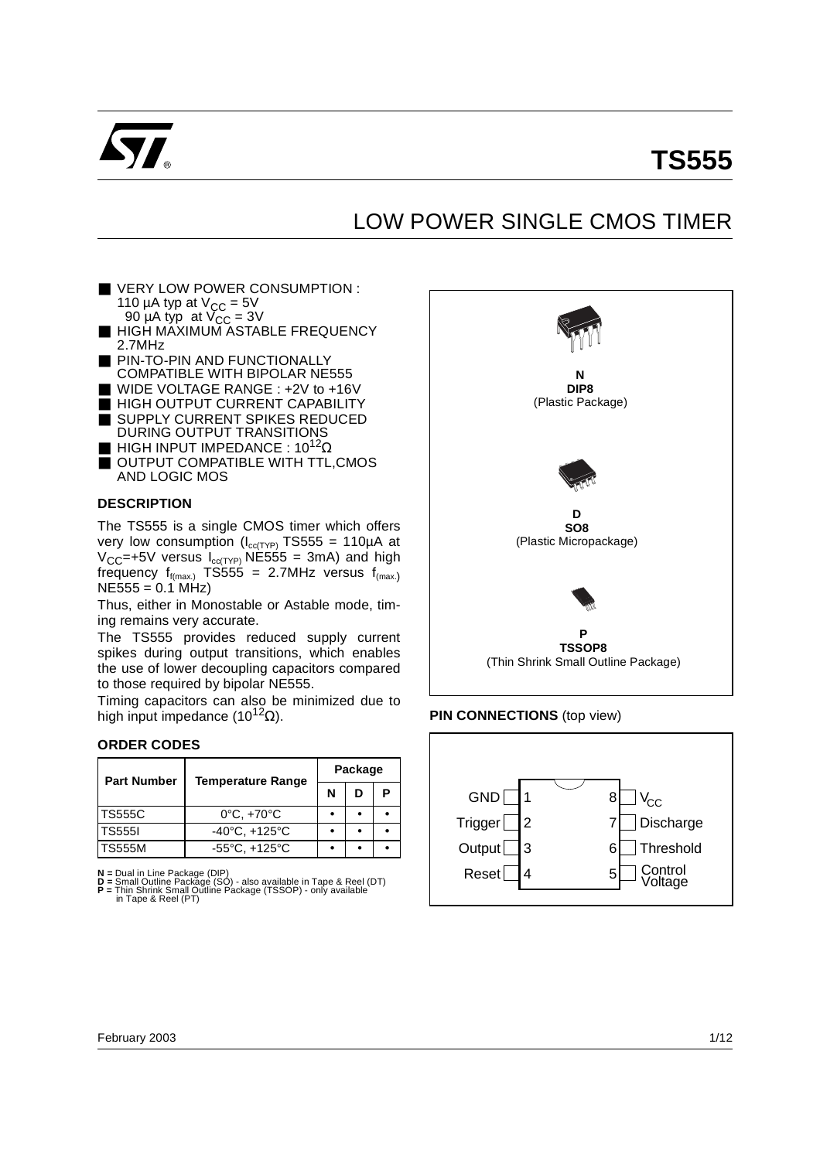

# **TS555**

## LOW POWER SINGLE CMOS TIMER

- VERY LOW POWER CONSUMPTION : 110 µA typ at  $V_{\text{CC}} = 5V$ 90  $\mu$ A typ at  $V_{CC}$  = 3V
- HIGH MAXIMUM ASTABLE FREQUENCY 2.7MHz
- **PIN-TO-PIN AND FUNCTIONALLY** COMPATIBLE WITH BIPOLAR NE555
- WIDE VOLTAGE RANGE : +2V to +16V
- HIGH OUTPUT CURRENT CAPABILITY ■ SUPPLY CURRENT SPIKES REDUCED
- DURING OUTPUT TRANSITIONS
- **E** HIGH INPUT IMPEDANCE :  $10^{12}$  $\Omega$
- OUTPUT COMPATIBLE WITH TTL, CMOS AND LOGIC MOS

#### **DESCRIPTION**

The TS555 is a single CMOS timer which offers very low consumption ( $I_{cc(TYP)}$  TS555 = 110µA at  $V_{CC}$ =+5V versus  $I_{cc(TYP)}$  NE555 = 3mA) and high frequency  $f_{f(max)}$  TS555 = 2.7MHz versus  $f_{(max)}$  $NE555 = 0.1$  MHz)

Thus, either in Monostable or Astable mode, timing remains very accurate.

The TS555 provides reduced supply current spikes during output transitions, which enables the use of lower decoupling capacitors compared to those required by bipolar NE555.

Timing capacitors can also be minimized due to high input impedance (10<sup>12</sup> $\Omega$ ).

#### **ORDER CODES**

| <b>Part Number</b> | <b>Temperature Range</b>          | Package |   |  |  |
|--------------------|-----------------------------------|---------|---|--|--|
|                    |                                   | N       | ח |  |  |
| lTS555C            | $0^{\circ}$ C, $+70^{\circ}$ C    |         |   |  |  |
| <b>TS5551</b>      | $-40^{\circ}$ C, $+125^{\circ}$ C |         |   |  |  |
| TS555M             | $-55^{\circ}$ C, $+125^{\circ}$ C |         |   |  |  |

**N =** Dual in Line Package (DIP) **D =** Small Outline Package (SO) - also available in Tape & Reel (DT) **P =** Thin Shrink Small Outline Package (TSSOP) - only available in Tape & Reel (PT)



#### **PIN CONNECTIONS** (top view)

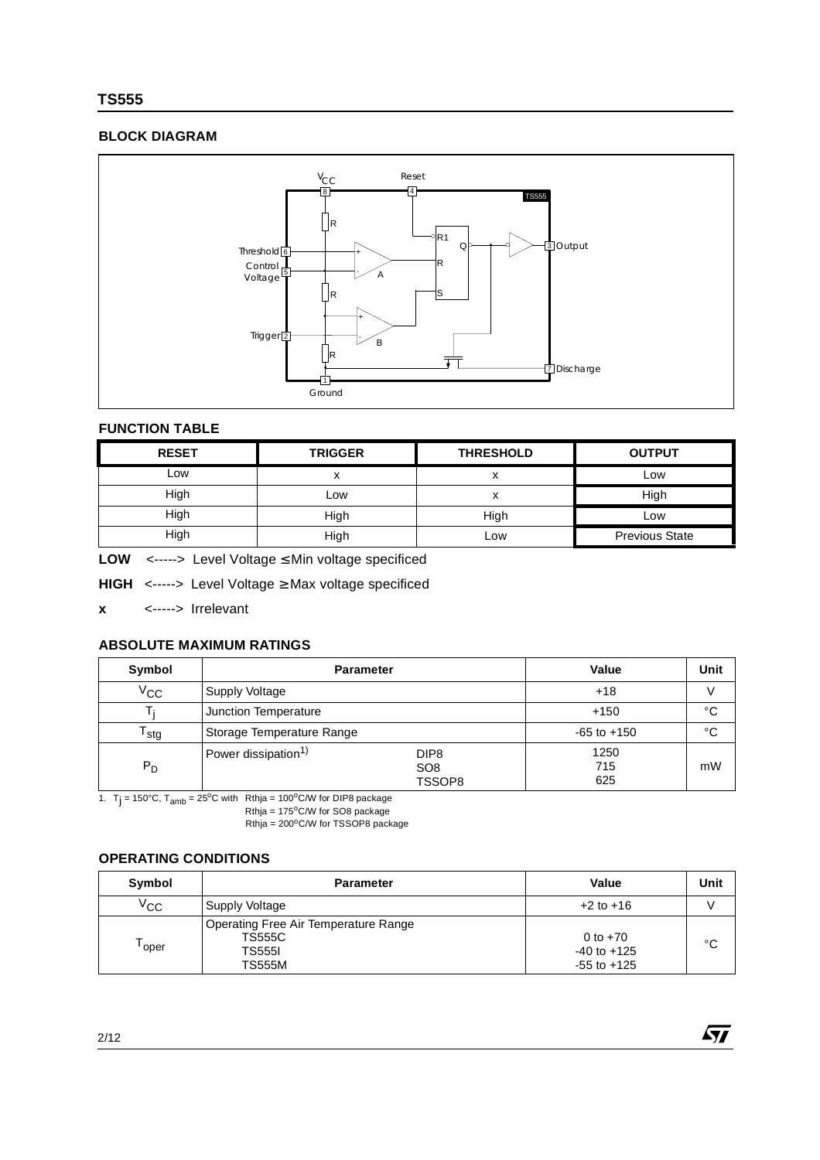## **TS555**

## **BLOCK DIAGRAM**



### **FUNCTION TABLE**

| <b>RESET</b> | <b>TRIGGER</b> | <b>THRESHOLD</b> | <b>OUTPUT</b>         |
|--------------|----------------|------------------|-----------------------|
| LOW          | v<br>ㅅ         | ́                | Low                   |
| High         | Low            | ́                | High                  |
| High         | High           | High             | Low                   |
| High         | High           | Low              | <b>Previous State</b> |

**LOW** <-----> Level Voltage ≤ Min voltage specificed

**HIGH** <-----> Level Voltage ≥ Max voltage specificed

**x** <-----> Irrelevant

## **ABSOLUTE MAXIMUM RATINGS**

| Symbol       | <b>Parameter</b>                |                                               | Value              | Unit         |
|--------------|---------------------------------|-----------------------------------------------|--------------------|--------------|
| $V_{\rm CC}$ | Supply Voltage                  | $+18$                                         |                    |              |
|              | Junction Temperature            | $+150$                                        | °C                 |              |
| stg          | Storage Temperature Range       |                                               | $-65$ to $+150$    | $^{\circ}$ C |
| $P_D$        | Power dissipation <sup>1)</sup> | DIP <sub>8</sub><br>SO <sub>8</sub><br>TSSOP8 | 1250<br>715<br>625 | mW           |

1.  $T_j = 150^{\circ}$ C,  $T_{amb} = 25^{\circ}$ C with Rthja = 100°C/W for DIP8 package  $Rthja = 175^{\circ}$ C/W for SO8 package

 $Rthja = 200^{\circ}$ C/W for TSSOP8 package

**OPERATING CONDITIONS** 

| Symbol       | <b>Parameter</b>                                                                        | Value                                            | Unit |
|--------------|-----------------------------------------------------------------------------------------|--------------------------------------------------|------|
| $V_{\rm CC}$ | Supply Voltage                                                                          | $+2$ to $+16$                                    |      |
| oper         | Operating Free Air Temperature Range<br><b>TS555C</b><br><b>TS5551</b><br><b>TS555M</b> | 0 to $+70$<br>$-40$ to $+125$<br>$-55$ to $+125$ | °C   |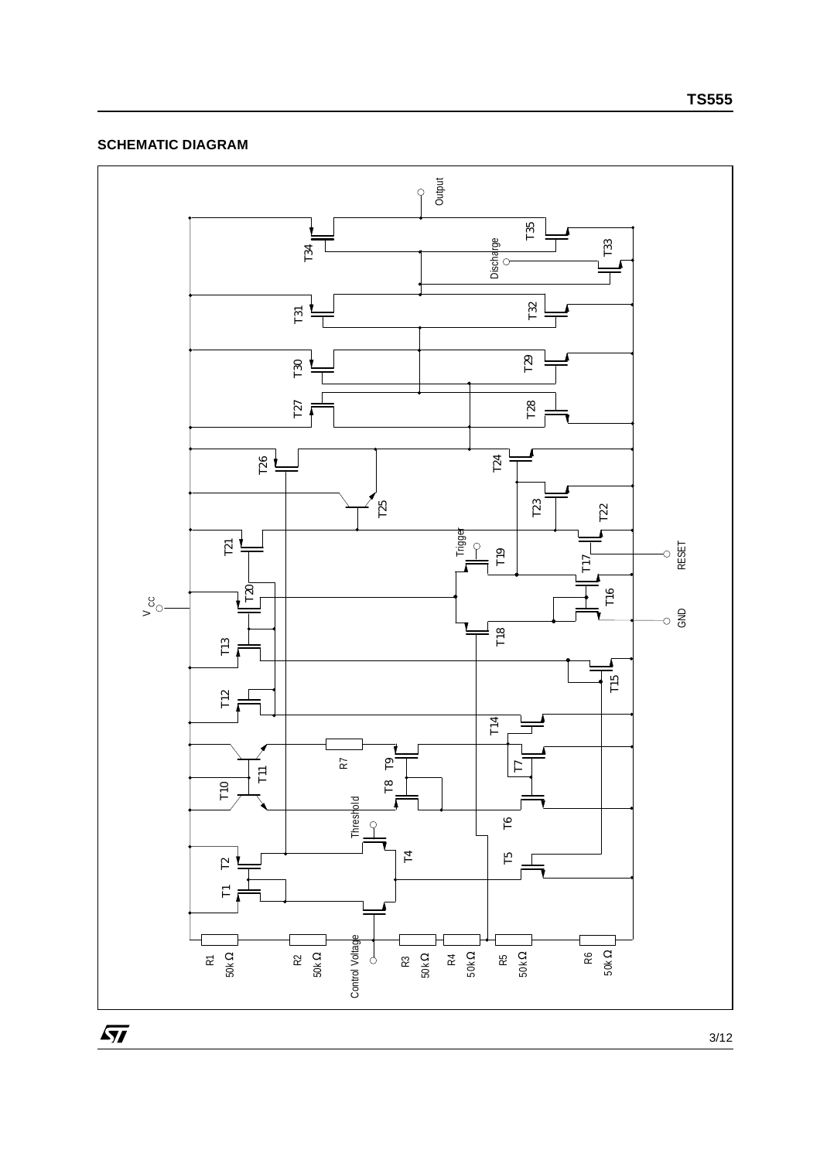## **SCHEMATIC DIAGRAM**

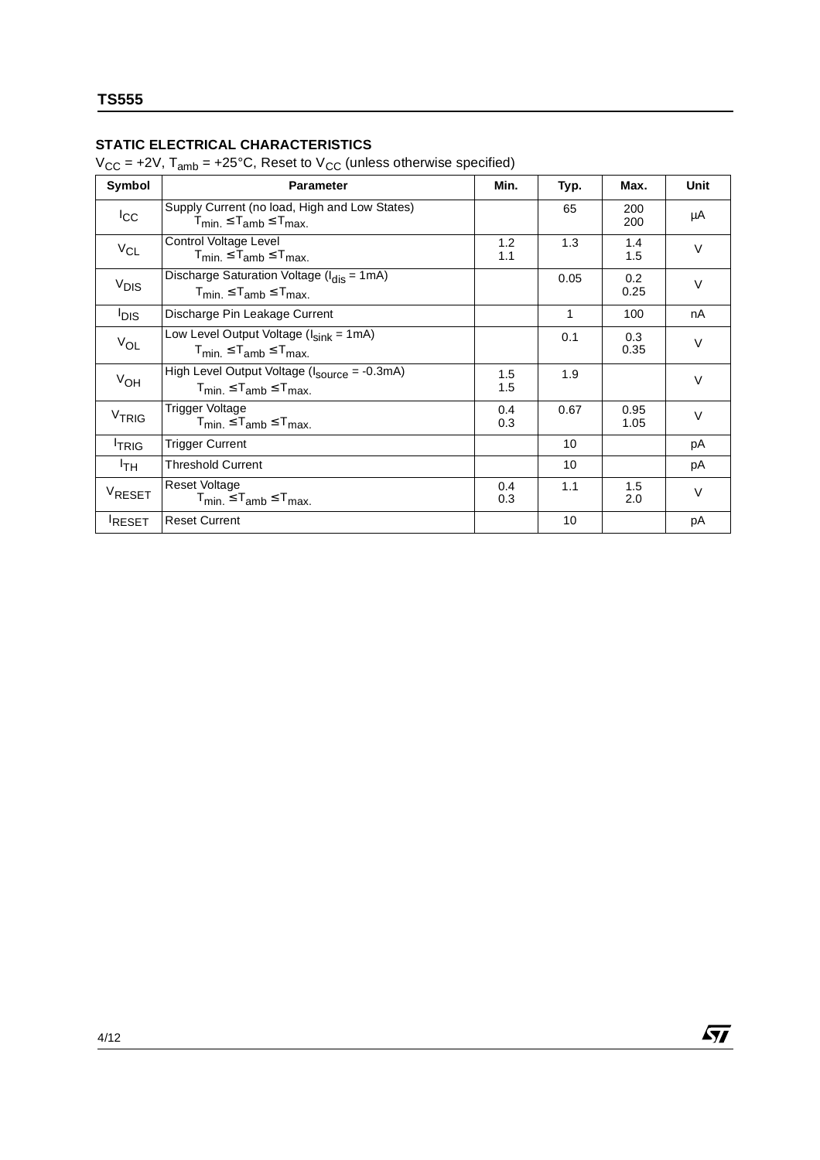## **STATIC ELECTRICAL CHARACTERISTICS**

 $V_{CC}$  = +2V,  $T_{amb}$  = +25°C, Reset to  $V_{CC}$  (unless otherwise specified)

| Symbol            | <b>Parameter</b>                                                                                                     | Min.       | Typ. | Max.         | <b>Unit</b> |
|-------------------|----------------------------------------------------------------------------------------------------------------------|------------|------|--------------|-------------|
| $_{\rm lcc}$      | Supply Current (no load, High and Low States)<br>$T_{min} \leq T_{amb} \leq T_{max}$                                 |            | 65   | 200<br>200   | μA          |
| $V_{CL}$          | Control Voltage Level<br>$T_{\text{min}} \leq T_{\text{amb}} \leq T_{\text{max}}$                                    | 1.2<br>1.1 | 1.3  | 1.4<br>1.5   | $\vee$      |
| V <sub>DIS</sub>  | Discharge Saturation Voltage ( $I_{dis} = 1 \text{mA}$ )<br>$T_{min.} \leq T_{amb} \leq T_{max.}$                    |            | 0.05 | 0.2<br>0.25  | $\vee$      |
| l <sub>DIS</sub>  | Discharge Pin Leakage Current                                                                                        |            | 1    | 100          | nA          |
| $V_{OL}$          | Low Level Output Voltage (I <sub>sink</sub> = 1mA)<br>$T_{\text{min}} \leq T_{\text{amb}} \leq T_{\text{max}}$       |            | 0.1  | 0.3<br>0.35  | $\vee$      |
| $V_{OH}$          | High Level Output Voltage (I <sub>source</sub> = -0.3mA)<br>$T_{\text{min}} \leq T_{\text{amb}} \leq T_{\text{max}}$ | 1.5<br>1.5 | 1.9  |              | $\vee$      |
| V <sub>TRIG</sub> | Trigger Voltage<br>$T_{min.} \leq T_{amb} \leq T_{max.}$                                                             | 0.4<br>0.3 | 0.67 | 0.95<br>1.05 | $\vee$      |
| <sup>I</sup> TRIG | <b>Trigger Current</b>                                                                                               |            | 10   |              | рA          |
| <sup>I</sup> тн   | <b>Threshold Current</b>                                                                                             |            | 10   |              | рA          |
| VRESET            | <b>Reset Voltage</b><br>$T_{min.} \leq T_{amb} \leq T_{max.}$                                                        | 0.4<br>0.3 | 1.1  | 1.5<br>2.0   | $\vee$      |
| <b>RESET</b>      | <b>Reset Current</b>                                                                                                 |            | 10   |              | рA          |

 $\sqrt{M}$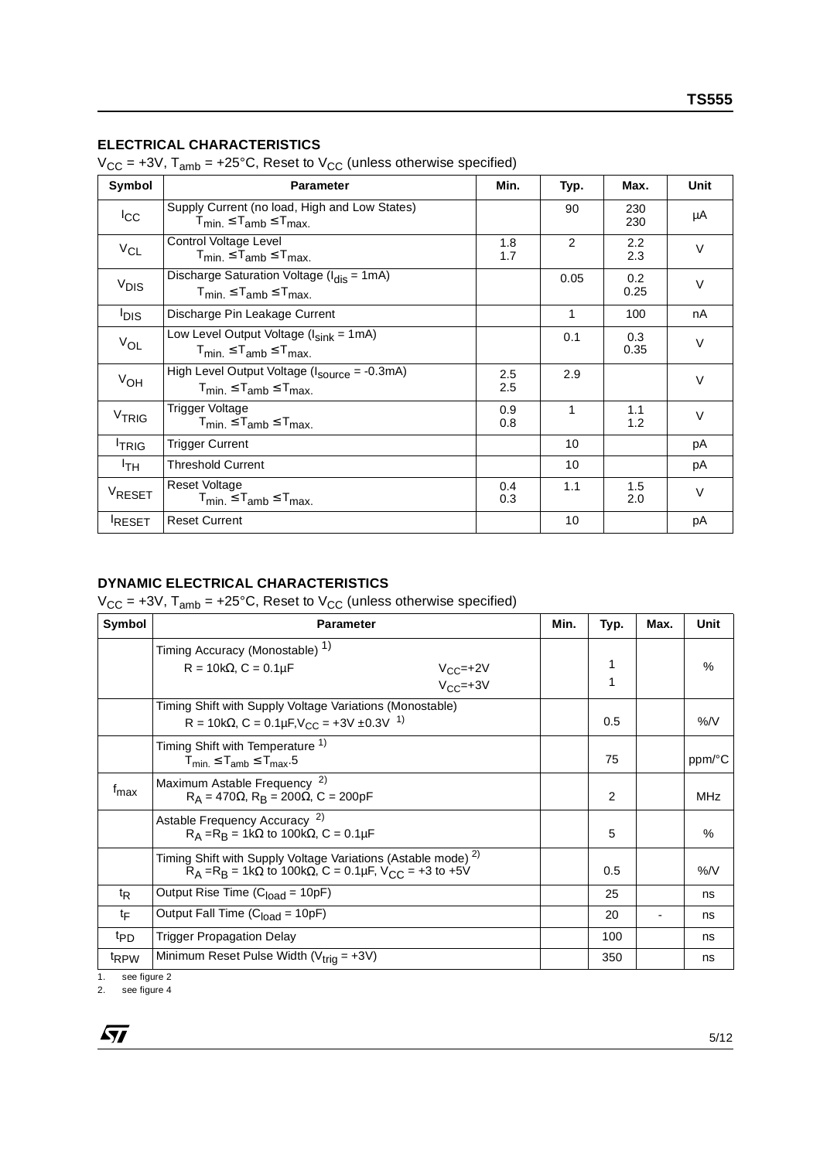### **ELECTRICAL CHARACTERISTICS**

 $V_{CC}$  = +3V,  $T_{amb}$  = +25°C, Reset to  $V_{CC}$  (unless otherwise specified)

| Symbol             | <b>Parameter</b>                                                                                             | Min.       | Typ.        | Max.                    | <b>Unit</b> |
|--------------------|--------------------------------------------------------------------------------------------------------------|------------|-------------|-------------------------|-------------|
| $_{\rm lcc}$       | Supply Current (no load, High and Low States)<br>$T_{min.} \leq T_{amb} \leq T_{max.}$                       |            | 90          | 230<br>230              | μA          |
| $V_{CL}$           | Control Voltage Level<br>$T_{min} \leq T_{amb} \leq T_{max}$                                                 | 1.8<br>1.7 | 2           | $2.2\phantom{0}$<br>2.3 | $\vee$      |
| V <sub>DIS</sub>   | Discharge Saturation Voltage ( $I_{dis} = 1mA$ )<br>$T_{\text{min}} \leq T_{\text{amb}} \leq T_{\text{max}}$ |            | 0.05        | 0.2<br>0.25             | $\vee$      |
| <b>DIS</b>         | Discharge Pin Leakage Current                                                                                |            | 1           | 100                     | nA          |
| $V_{OL}$           | Low Level Output Voltage ( $I_{sink}$ = 1mA)<br>$T_{min} \leq T_{amb} \leq T_{max}$                          |            | 0.1         | 0.3<br>0.35             | $\vee$      |
| $V_{OH}$           | High Level Output Voltage (I <sub>source</sub> = -0.3mA)<br>$T_{min.} \leq T_{amb} \leq T_{max.}$            | 2.5<br>2.5 | 2.9         |                         | $\vee$      |
| V <sub>TRIG</sub>  | Trigger Voltage<br>$T_{min.} \leq T_{amb} \leq T_{max.}$                                                     | 0.9<br>0.8 | $\mathbf 1$ | 1.1<br>1.2              | $\vee$      |
| <sup>I</sup> TRIG  | <b>Trigger Current</b>                                                                                       |            | 10          |                         | рA          |
| <sup>I</sup> TH    | Threshold Current                                                                                            |            | 10          |                         | рA          |
| V <sub>RESET</sub> | <b>Reset Voltage</b><br>$T_{min.} \leq T_{amb} \leq T_{max.}$                                                | 0.4<br>0.3 | 1.1         | 1.5<br>2.0              | $\vee$      |
| <b>RESET</b>       | <b>Reset Current</b>                                                                                         |            | 10          |                         | рA          |

## **DYNAMIC ELECTRICAL CHARACTERISTICS**

 $V_{CC}$  = +3V, T<sub>amb</sub> = +25°C, Reset to  $V_{CC}$  (unless otherwise specified)

| Symbol             | <b>Parameter</b>                                                                                                                                             | Min. | Typ.   | Max. | Unit       |
|--------------------|--------------------------------------------------------------------------------------------------------------------------------------------------------------|------|--------|------|------------|
|                    | Timing Accuracy (Monostable) <sup>1)</sup><br>$R = 10k\Omega$ , $C = 0.1\mu F$<br>$V_{CC}$ =+2V<br>$V_{CC}$ =+3V                                             |      | 1<br>1 |      | $\%$       |
|                    | Timing Shift with Supply Voltage Variations (Monostable)<br>R = 10k $\Omega$ , C = 0.1 $\mu$ F, V <sub>CC</sub> = +3V ±0.3V <sup>1)</sup>                    |      | 0.5    |      | %N         |
|                    | Timing Shift with Temperature <sup>1)</sup><br>$T_{min.} \leq T_{amb} \leq T_{max}.5$                                                                        |      | 75     |      | ppm/°C     |
| $f_{\text{max}}$   | Maximum Astable Frequency <sup>2)</sup><br>$R_A = 470 \Omega$ , $R_B = 200 \Omega$ , C = 200pF                                                               |      | 2      |      | <b>MHz</b> |
|                    | Astable Frequency Accuracy <sup>2)</sup><br>$R_A = R_B = 1k\Omega$ to 100k $\Omega$ , C = 0.1µF                                                              |      | 5      |      | %          |
|                    | Timing Shift with Supply Voltage Variations (Astable mode) <sup>2)</sup><br>$R_A = R_B = 1k\Omega$ to 100k $\Omega$ , C = 0.1µF, V <sub>CC</sub> = +3 to +5V |      | 0.5    |      | %N         |
| t <sub>R</sub>     | Output Rise Time ( $Cload = 10pF$ )                                                                                                                          |      | 25     |      | ns         |
| tF                 | Output Fall Time $(Cload = 10pF)$                                                                                                                            |      | 20     |      | ns         |
| t <sub>PD</sub>    | <b>Trigger Propagation Delay</b>                                                                                                                             |      | 100    |      | ns         |
| t <sub>RPW</sub>   | Minimum Reset Pulse Width ( $V_{trig}$ = +3V)                                                                                                                |      | 350    |      | ns         |
| see figure 2<br>1. |                                                                                                                                                              |      |        |      |            |

2. see figure 4

 $\sqrt{27}$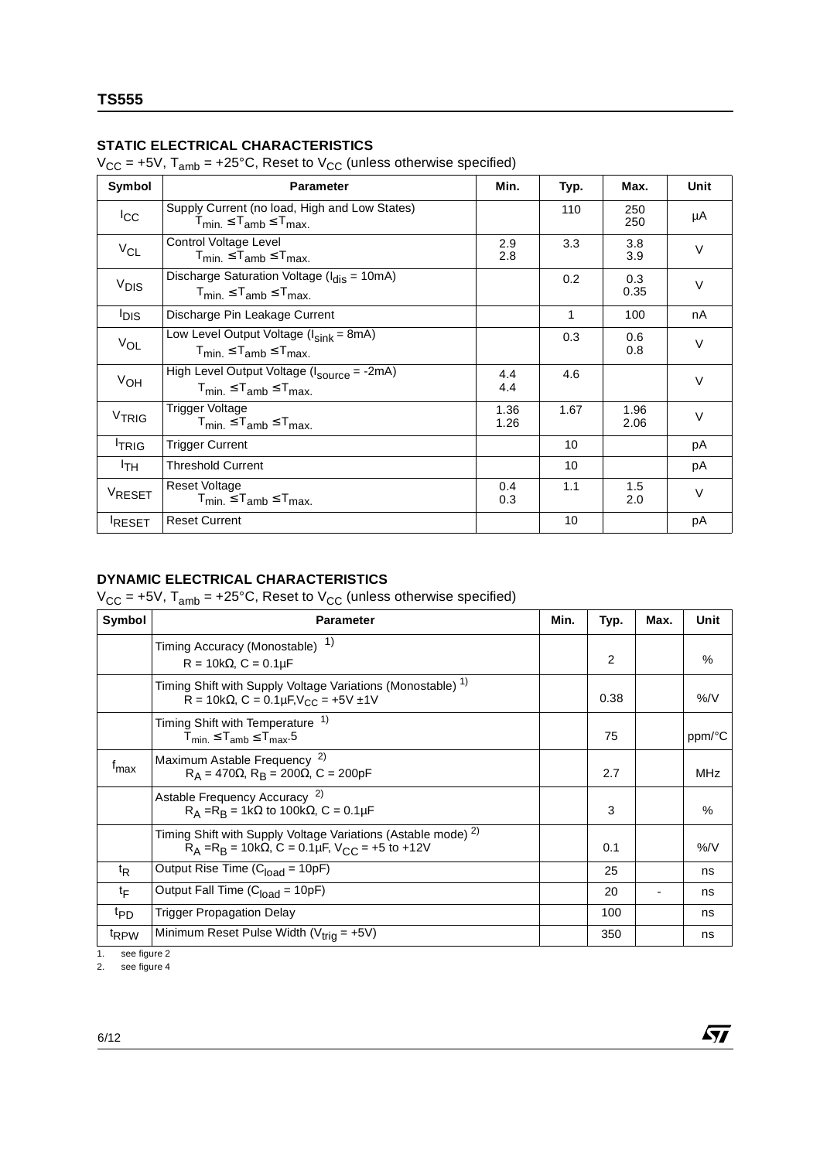## **STATIC ELECTRICAL CHARACTERISTICS**

 $V_{CC}$  = +5V, T<sub>amb</sub> = +25°C, Reset to  $V_{CC}$  (unless otherwise specified)

| Symbol             | <b>Parameter</b>                                                                                          | Min.         | Typ. | Max.         | <b>Unit</b> |
|--------------------|-----------------------------------------------------------------------------------------------------------|--------------|------|--------------|-------------|
| $_{\rm{lcc}}$      | Supply Current (no load, High and Low States)<br>$T_{\text{min}} \leq T_{\text{amb}} \leq T_{\text{max}}$ |              | 110  | 250<br>250   | μA          |
| $V_{CL}$           | Control Voltage Level<br>$T_{min.} \leq T_{amb} \leq T_{max.}$                                            | 2.9<br>2.8   | 3.3  | 3.8<br>3.9   | $\vee$      |
| $V_{DIS}$          | Discharge Saturation Voltage (Idis = 10mA)<br>$T_{min.} \leq T_{amb} \leq T_{max.}$                       |              | 0.2  | 0.3<br>0.35  | $\vee$      |
| <sup>I</sup> DIS   | Discharge Pin Leakage Current                                                                             |              | 1    | 100          | nA          |
| $V_{OL}$           | Low Level Output Voltage ( $I_{sink}$ = 8mA)<br>$T_{min.} \leq T_{amb} \leq T_{max.}$                     |              | 0.3  | 0.6<br>0.8   | $\vee$      |
| VOH                | High Level Output Voltage (I <sub>source</sub> = -2mA)<br>$T_{min.} \leq T_{amb} \leq T_{max.}$           | 4.4<br>4.4   | 4.6  |              | $\vee$      |
| V <sub>TRIG</sub>  | Trigger Voltage<br>$T_{min} \leq T_{amb} \leq T_{max}$                                                    | 1.36<br>1.26 | 1.67 | 1.96<br>2.06 | $\vee$      |
| <sup>I</sup> TRIG  | <b>Trigger Current</b>                                                                                    |              | 10   |              | рA          |
| ŀтн.               | <b>Threshold Current</b>                                                                                  |              | 10   |              | рA          |
| V <sub>RESET</sub> | Reset Voltage<br>$T_{min} \leq T_{amb} \leq T_{max}$                                                      | 0.4<br>0.3   | 1.1  | 1.5<br>2.0   | $\vee$      |
| <b>RESET</b>       | <b>Reset Current</b>                                                                                      |              | 10   |              | рA          |

## **DYNAMIC ELECTRICAL CHARACTERISTICS**

 $V_{CC}$  = +5V, T<sub>amb</sub> = +25°C, Reset to  $V_{CC}$  (unless otherwise specified)

| Symbol           | <b>Parameter</b>                                                                                                                              | Min. | Typ.           | Max. | Unit       |
|------------------|-----------------------------------------------------------------------------------------------------------------------------------------------|------|----------------|------|------------|
|                  | 1)<br>Timing Accuracy (Monostable)<br>$R = 10k\Omega$ , $C = 0.1\mu F$                                                                        |      | $\overline{2}$ |      | $\%$       |
|                  | Timing Shift with Supply Voltage Variations (Monostable) <sup>1)</sup><br>$R = 10k\Omega$ , $C = 0.1\mu F$ , $V_{CC} = +5V \pm 1V$            |      | 0.38           |      | %/V        |
|                  | Timing Shift with Temperature <sup>1)</sup><br>$T_{min} \leq T_{amb} \leq T_{max}.5$                                                          |      | 75             |      | ppm/°C     |
| $f_{\text{max}}$ | Maximum Astable Frequency <sup>2)</sup><br>$R_A = 470\Omega$ , $R_B = 200\Omega$ , C = 200pF                                                  |      | 2.7            |      | <b>MHz</b> |
|                  | Astable Frequency Accuracy <sup>2)</sup><br>$R_A = R_B = 1k\Omega$ to 100k $\Omega$ , C = 0.1µF                                               |      | 3              |      | $\%$       |
|                  | Timing Shift with Supply Voltage Variations (Astable mode) <sup>2)</sup><br>$R_A = R_B = 10k\Omega$ , C = 0.1µF, V <sub>CC</sub> = +5 to +12V |      | 0.1            |      | %/V        |
| $t_{R}$          | Output Rise Time (C <sub>load</sub> = 10pF)                                                                                                   |      | 25             |      | ns         |
| tF               | Output Fall Time (C <sub>load</sub> = 10pF)                                                                                                   |      | 20             |      | ns         |
| <sup>t</sup> PD  | <b>Trigger Propagation Delay</b>                                                                                                              |      | 100            |      | ns         |
| <sup>t</sup> RPW | Minimum Reset Pulse Width ( $V_{trig}$ = +5V)                                                                                                 |      | 350            |      | ns         |

 $\sqrt{M}$ 

1. see figure 2 2. see figure 4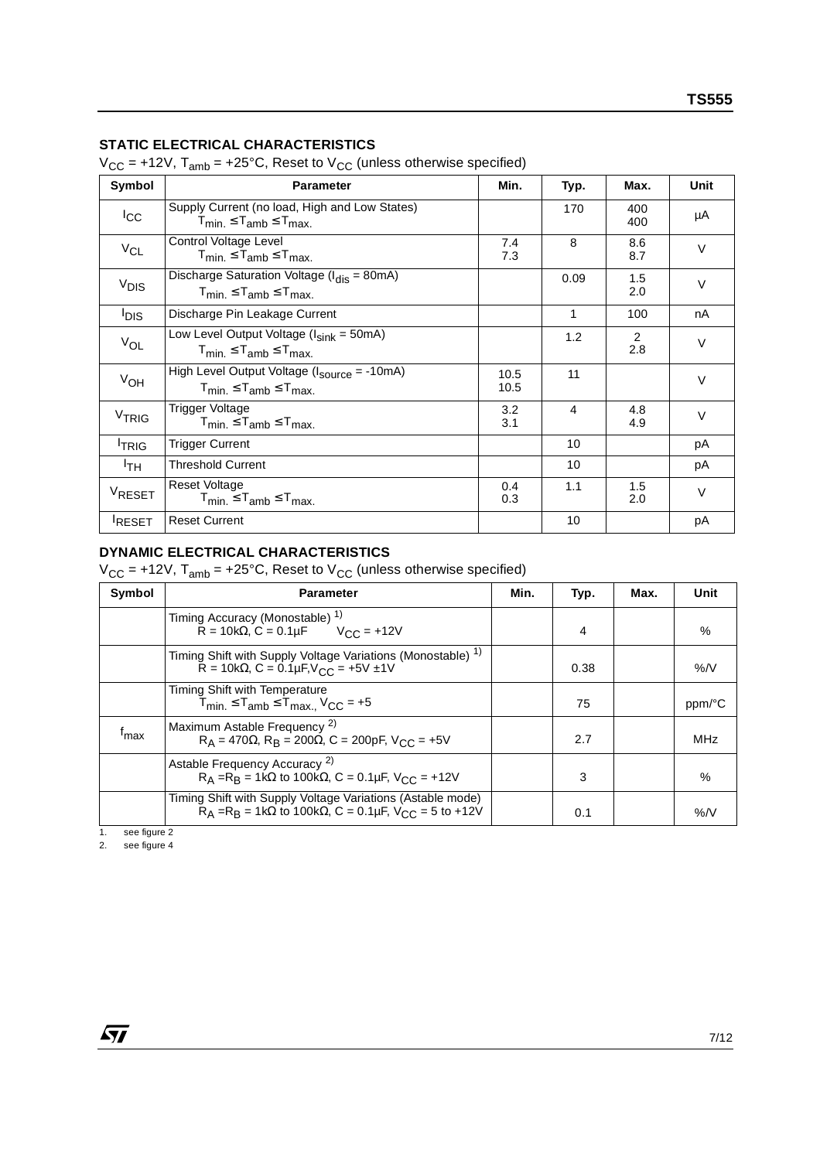## **STATIC ELECTRICAL CHARACTERISTICS**

 $V_{CC}$  = +12V,  $T_{amb}$  = +25°C, Reset to  $V_{CC}$  (unless otherwise specified)

| Symbol            | <b>Parameter</b>                                                                                             | Min.         | Typ. | Max.       | <b>Unit</b> |
|-------------------|--------------------------------------------------------------------------------------------------------------|--------------|------|------------|-------------|
| $_{\rm lcc}$      | Supply Current (no load, High and Low States)<br>$T_{min.} \leq T_{amb} \leq T_{max.}$                       |              | 170  | 400<br>400 | μA          |
| $V_{CL}$          | Control Voltage Level<br>$T_{min.} \leq T_{amb} \leq T_{max.}$                                               | 7.4<br>7.3   | 8    | 8.6<br>8.7 | $\vee$      |
| V <sub>DIS</sub>  | Discharge Saturation Voltage ( $I_{dis}$ = 80mA)<br>$T_{\text{min}} \leq T_{\text{amb}} \leq T_{\text{max}}$ |              | 0.09 | 1.5<br>2.0 | $\vee$      |
| <sup>I</sup> DIS  | Discharge Pin Leakage Current                                                                                |              | 1    | 100        | nA          |
| $V_{OL}$          | Low Level Output Voltage $(l_{sink} = 50mA)$<br>$T_{min} \leq T_{amb} \leq T_{max}$                          |              | 1.2  | 2<br>2.8   | $\vee$      |
| $V_{OH}$          | High Level Output Voltage $(l_{\text{source}} = -10 \text{mA})$<br>$T_{min.} \leq T_{amb} \leq T_{max.}$     | 10.5<br>10.5 | 11   |            | $\vee$      |
| V <sub>TRIG</sub> | Trigger Voltage<br>$T_{min.} \leq T_{amb} \leq T_{max.}$                                                     | 3.2<br>3.1   | 4    | 4.8<br>4.9 | $\vee$      |
| <sup>I</sup> TRIG | <b>Trigger Current</b>                                                                                       |              | 10   |            | рA          |
| <sup>I</sup> TH   | <b>Threshold Current</b>                                                                                     |              | 10   |            | рA          |
| VRESET            | <b>Reset Voltage</b><br>$T_{min.} \leq T_{amb} \leq T_{max.}$                                                | 0.4<br>0.3   | 1.1  | 1.5<br>2.0 | $\vee$      |
| <b>RESET</b>      | <b>Reset Current</b>                                                                                         |              | 10   |            | pA          |

## **DYNAMIC ELECTRICAL CHARACTERISTICS**

 $V_{CC}$  = +12V,  $T_{amb}$  = +25°C, Reset to  $V_{CC}$  (unless otherwise specified)

| Symbol           | <b>Parameter</b>                                                                                                                               | Min. | Typ. | Max. | Unit   |
|------------------|------------------------------------------------------------------------------------------------------------------------------------------------|------|------|------|--------|
|                  | Timing Accuracy (Monostable) 1)<br>$\bar{R} = 10k\Omega$ , C = 0.1µF $V_{\text{CC}} = +12V$                                                    |      | 4    |      | %      |
|                  | Timing Shift with Supply Voltage Variations (Monostable) <sup>1)</sup><br>$R = 10k\Omega$ , $C = 0.1\mu F$ , $V_{CC} = +5V \pm 1V$             |      | 0.38 |      | %N     |
|                  | Timing Shift with Temperature<br>$T_{\text{min}} \leq T_{\text{amb}} \leq T_{\text{max}}$ , $V_{\text{CC}} = +5$                               |      | 75   |      | ppm/°C |
| <sup>I</sup> max | Maximum Astable Frequency <sup>2)</sup><br>$R_A = 470\Omega$ , $R_B = 200\Omega$ , $C = 200pF$ , $V_{C}C = +5V$                                |      | 2.7  |      | MHz    |
|                  | Astable Frequency Accuracy <sup>2)</sup><br>$R_A = R_B = 1k\Omega$ to 100k $\Omega$ , C = 0.1µF, $V_{C} = +12V$                                |      | 3    |      | %      |
|                  | Timing Shift with Supply Voltage Variations (Astable mode)<br>$R_A = R_B = 1k\Omega$ to 100k $\Omega$ , C = 0.1µF, V <sub>CC</sub> = 5 to +12V |      | 0.1  |      | %N     |

1. see figure 2

2. see figure 4

 $\sqrt{M}$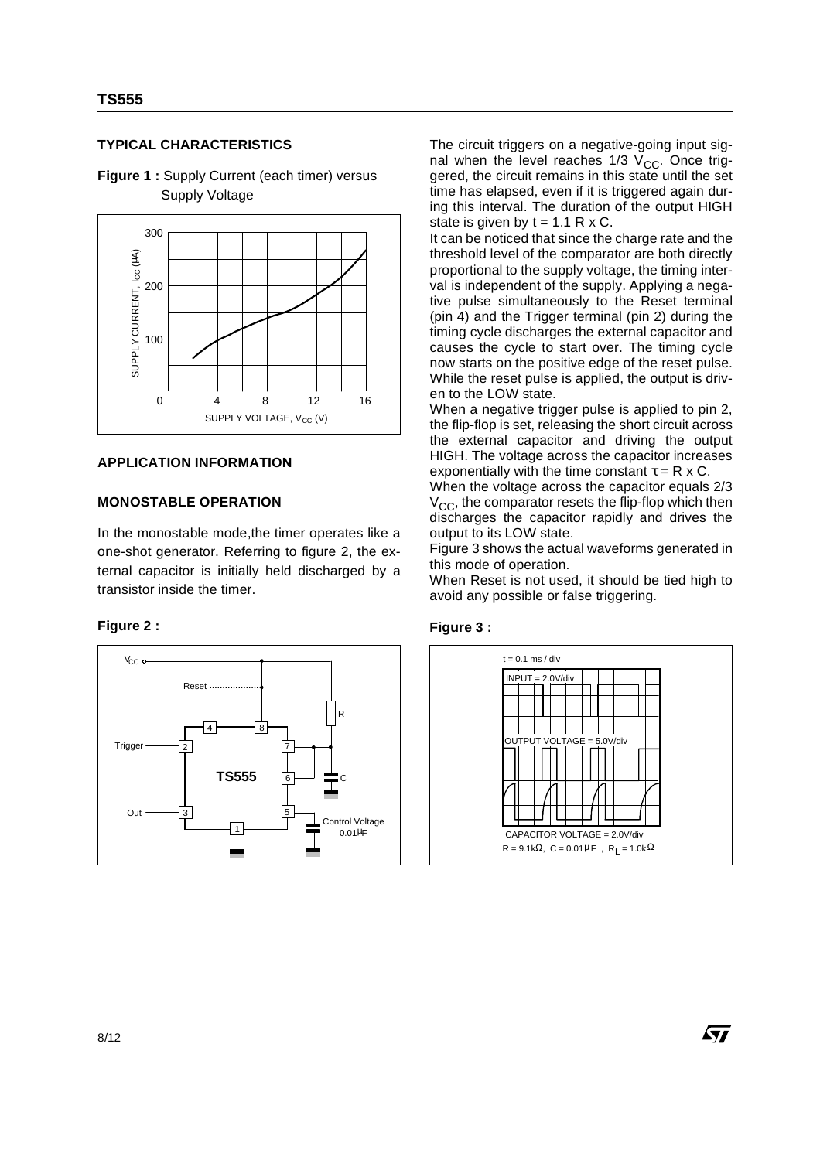### **TYPICAL CHARACTERISTICS**



**Figure 1 :** Supply Current (each timer) versus Supply Voltage

### **APPLICATION INFORMATION**

#### **MONOSTABLE OPERATION**

In the monostable mode,the timer operates like a one-shot generator. Referring to figure 2, the external capacitor is initially held discharged by a transistor inside the timer.

#### **Figure 2 :**



The circuit triggers on a negative-going input signal when the level reaches  $1/3$  V<sub>CC</sub>. Once triggered, the circuit remains in this state until the set time has elapsed, even if it is triggered again during this interval. The duration of the output HIGH state is given by  $t = 1.1$  R x C.

It can be noticed that since the charge rate and the threshold level of the comparator are both directly proportional to the supply voltage, the timing interval is independent of the supply. Applying a negative pulse simultaneously to the Reset terminal (pin 4) and the Trigger terminal (pin 2) during the timing cycle discharges the external capacitor and causes the cycle to start over. The timing cycle now starts on the positive edge of the reset pulse. While the reset pulse is applied, the output is driven to the LOW state.

When a negative trigger pulse is applied to pin 2, the flip-flop is set, releasing the short circuit across the external capacitor and driving the output HIGH. The voltage across the capacitor increases exponentially with the time constant  $\tau = R \times C$ .

When the voltage across the capacitor equals 2/3  $V_{\text{CC}}$ , the comparator resets the flip-flop which then discharges the capacitor rapidly and drives the output to its LOW state.

Figure 3 shows the actual waveforms generated in this mode of operation.

When Reset is not used, it should be tied high to avoid any possible or false triggering.





**AV**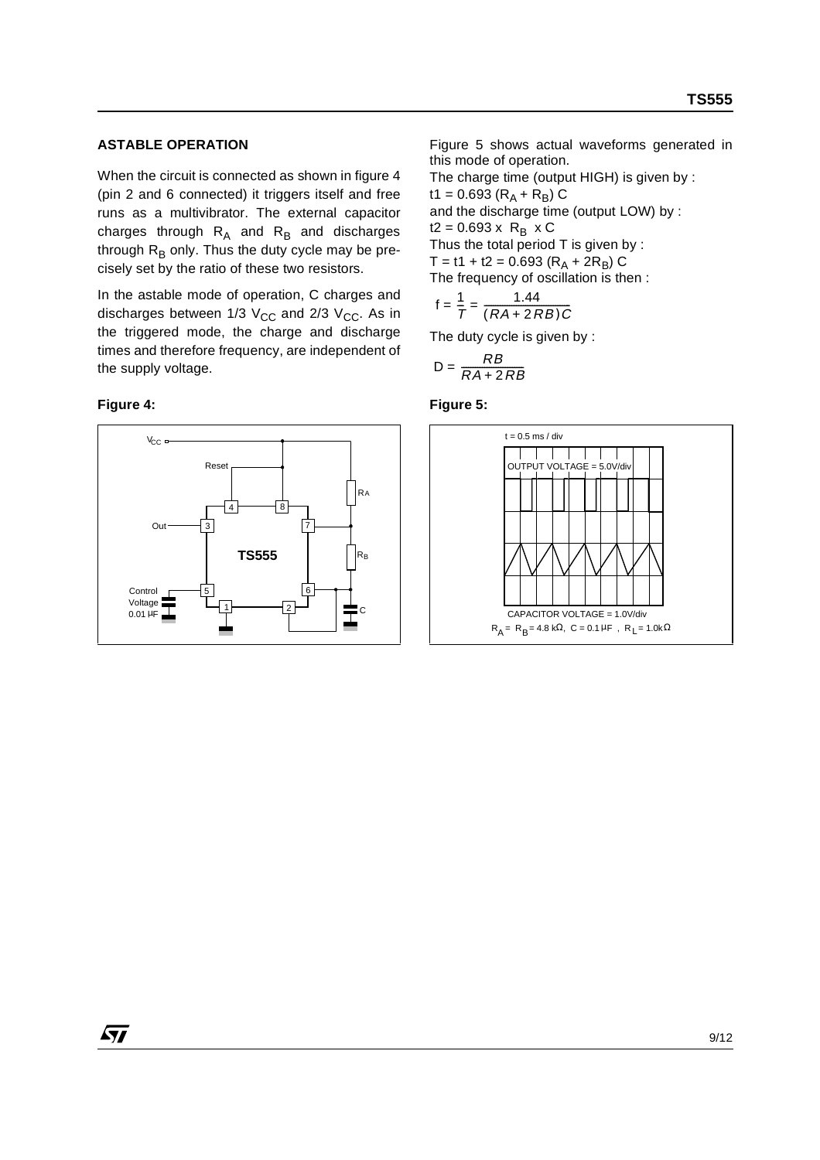### **ASTABLE OPERATION**

When the circuit is connected as shown in figure 4 (pin 2 and 6 connected) it triggers itself and free runs as a multivibrator. The external capacitor charges through  $R_A$  and  $R_B$  and discharges through  $R_B$  only. Thus the duty cycle may be precisely set by the ratio of these two resistors.

In the astable mode of operation, C charges and discharges between  $1/3$  V<sub>CC</sub> and  $2/3$  V<sub>CC</sub>. As in the triggered mode, the charge and discharge times and therefore frequency, are independent of the supply voltage.

#### **Figure 4:**



Figure 5 shows actual waveforms generated in this mode of operation.

The charge time (output HIGH) is given by : t1 = 0.693 ( $R_A + R_B$ ) C and the discharge time (output LOW) by :  $t2 = 0.693 \times R_B \times C$ Thus the total period T is given by :  $T = t1 + t2 = 0.693 (R_A + 2R_B) C$ The frequency of oscillation is then :

$$
f = \frac{1}{T} = \frac{1.44}{(RA + 2RB)C}
$$

The duty cycle is given by :

$$
D = \frac{RB}{RA + 2RB}
$$

#### **Figure 5:**

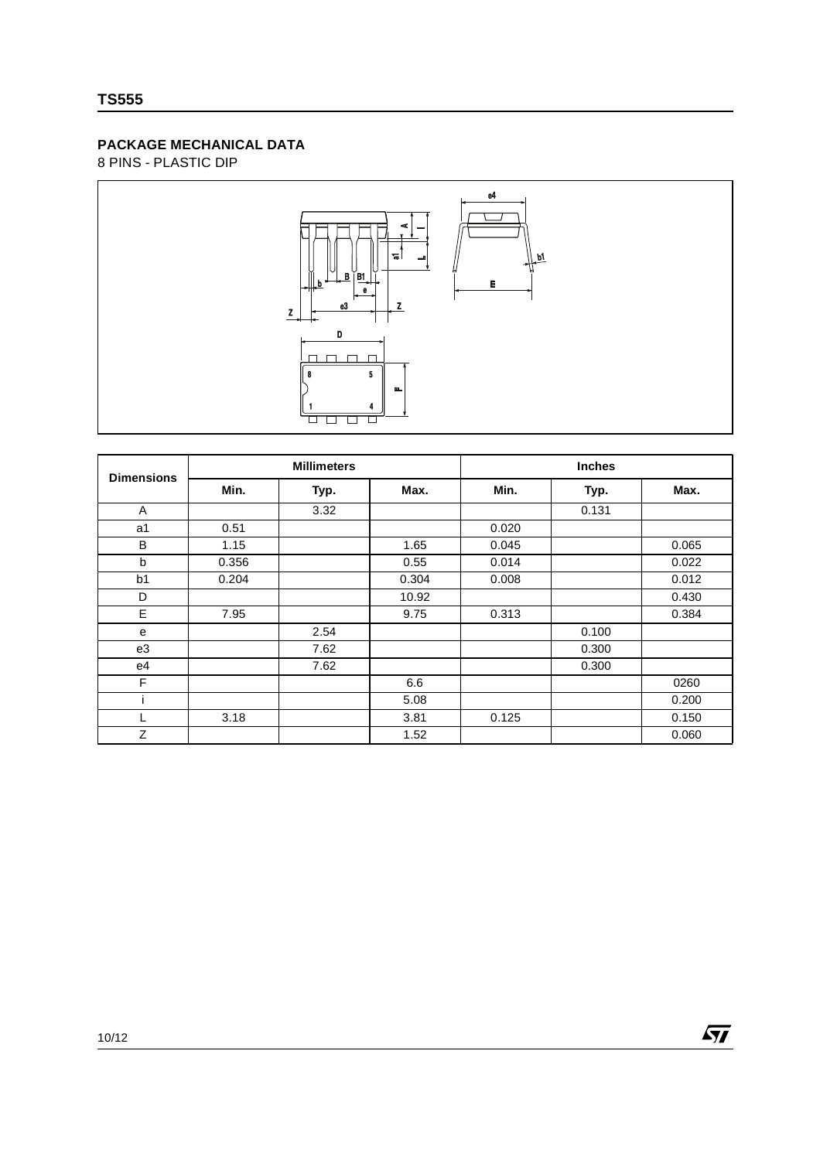## **PACKAGE MECHANICAL DATA**

8 PINS - PLASTIC DIP



| <b>Dimensions</b> | <b>Millimeters</b> |      |       | <b>Inches</b> |       |       |  |
|-------------------|--------------------|------|-------|---------------|-------|-------|--|
|                   | Min.               | Typ. | Max.  | Min.          | Typ.  | Max.  |  |
| A                 |                    | 3.32 |       |               | 0.131 |       |  |
| a1                | 0.51               |      |       | 0.020         |       |       |  |
| B                 | 1.15               |      | 1.65  | 0.045         |       | 0.065 |  |
| b                 | 0.356              |      | 0.55  | 0.014         |       | 0.022 |  |
| b <sub>1</sub>    | 0.204              |      | 0.304 | 0.008         |       | 0.012 |  |
| D                 |                    |      | 10.92 |               |       | 0.430 |  |
| E                 | 7.95               |      | 9.75  | 0.313         |       | 0.384 |  |
| e                 |                    | 2.54 |       |               | 0.100 |       |  |
| e3                |                    | 7.62 |       |               | 0.300 |       |  |
| e4                |                    | 7.62 |       |               | 0.300 |       |  |
| F                 |                    |      | 6.6   |               |       | 0260  |  |
|                   |                    |      | 5.08  |               |       | 0.200 |  |
|                   | 3.18               |      | 3.81  | 0.125         |       | 0.150 |  |
| Z                 |                    |      | 1.52  |               |       | 0.060 |  |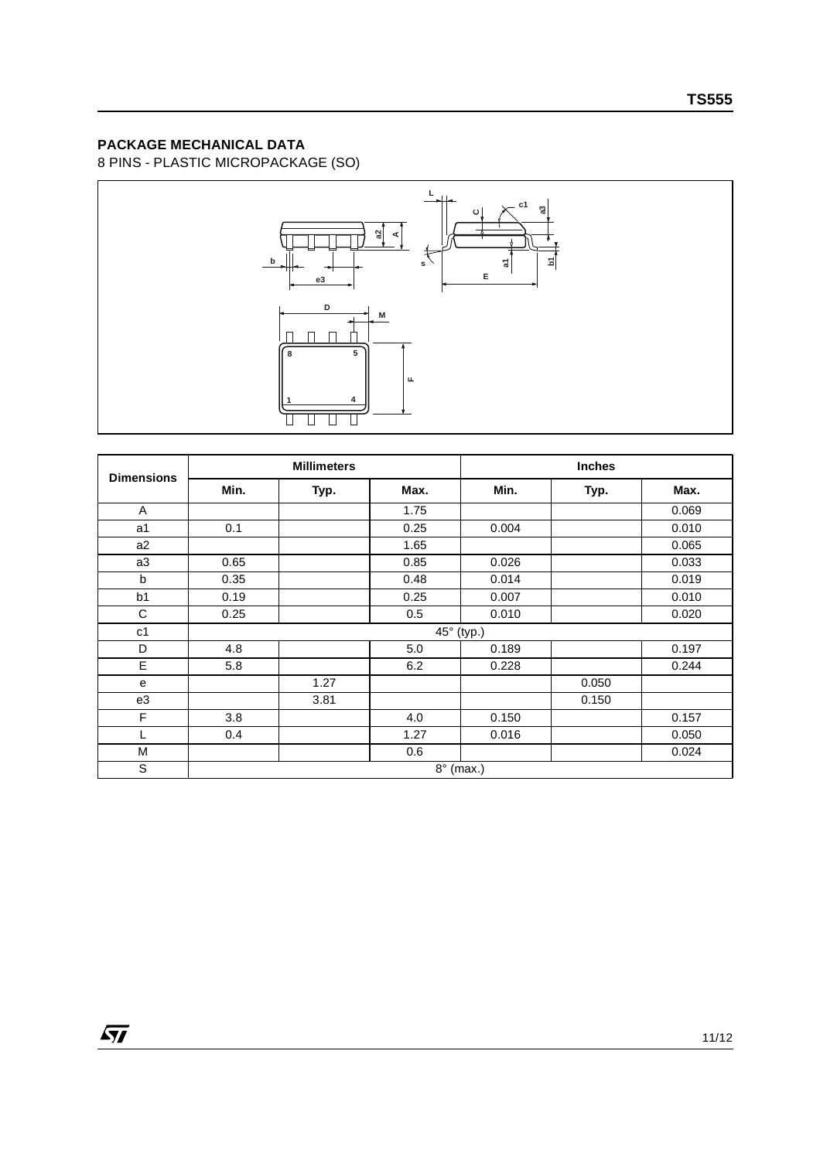## **PACKAGE MECHANICAL DATA**

8 PINS - PLASTIC MICROPACKAGE (SO)



| <b>Dimensions</b> | <b>Millimeters</b> |      |      | <b>Inches</b> |       |       |  |  |
|-------------------|--------------------|------|------|---------------|-------|-------|--|--|
|                   | Min.               | Typ. | Max. | Min.          | Typ.  | Max.  |  |  |
| A                 |                    |      | 1.75 |               |       | 0.069 |  |  |
| a <sub>1</sub>    | 0.1                |      | 0.25 | 0.004         |       | 0.010 |  |  |
| a2                |                    |      | 1.65 |               |       | 0.065 |  |  |
| a3                | 0.65               |      | 0.85 | 0.026         |       | 0.033 |  |  |
| b                 | 0.35               |      | 0.48 | 0.014         |       | 0.019 |  |  |
| b <sub>1</sub>    | 0.19               |      | 0.25 | 0.007         |       | 0.010 |  |  |
| С                 | 0.25               |      | 0.5  | 0.010         |       | 0.020 |  |  |
| c <sub>1</sub>    | 45° (typ.)         |      |      |               |       |       |  |  |
| D                 | 4.8                |      | 5.0  | 0.189         |       | 0.197 |  |  |
| E                 | 5.8                |      | 6.2  | 0.228         |       | 0.244 |  |  |
| e                 |                    | 1.27 |      |               | 0.050 |       |  |  |
| e3                |                    | 3.81 |      |               | 0.150 |       |  |  |
| F                 | 3.8                |      | 4.0  | 0.150         |       | 0.157 |  |  |
|                   | 0.4                |      | 1.27 | 0.016         |       | 0.050 |  |  |
| M                 |                    |      | 0.6  |               |       | 0.024 |  |  |
| S                 | $8^\circ$ (max.)   |      |      |               |       |       |  |  |